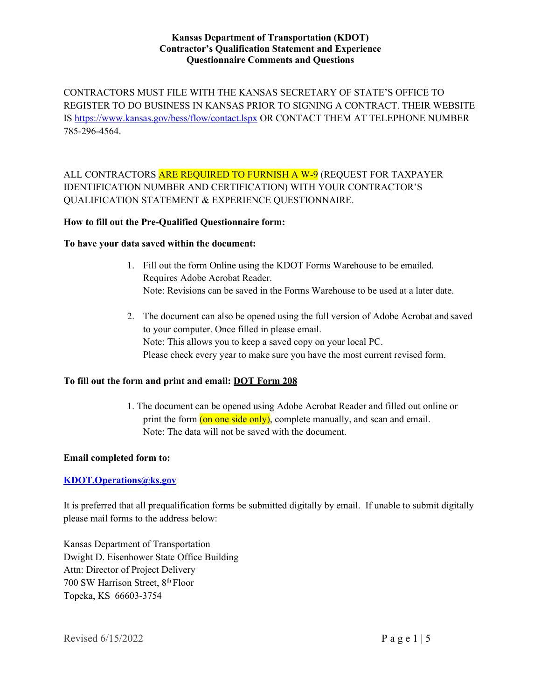## **Kansas Department of Transportation (KDOT) Contractor's Qualification Statement and Experience Questionnaire Comments and Questions**

CONTRACTORS MUST FILE WITH THE KANSAS SECRETARY OF STATE'S OFFICE TO REGISTER TO DO BUSINESS IN KANSAS PRIOR TO SIGNING A CONTRACT. THEIR WEBSITE IS [https://www.kansas.gov/bess/flow/contact.lspx O](https://www.kansas.gov/bess/flow/contact.lspx)R CONTACT THEM AT TELEPHONE NUMBER 785-296-4564.

ALL CONTRACTORS ARE REQUIRED TO FURNISH A W-9 (REQUEST FOR TAXPAYER IDENTIFICATION NUMBER AND CERTIFICATION) WITH YOUR CONTRACTOR'S QUALIFICATION STATEMENT & EXPERIENCE QUESTIONNAIRE.

# **How to fill out the Pre-Qualified Questionnaire form:**

## **To have your data saved within the document:**

- 1. Fill out the form Online using the KDOT Forms Warehouse to be emailed. Requires Adobe Acrobat Reader. Note: Revisions can be saved in the Forms Warehouse to be used at a later date.
- 2. The document can also be opened using the full version of Adobe Acrobat and saved to your computer. Once filled in please email. Note: This allows you to keep a saved copy on your local PC. Please check every year to make sure you have the most current revised form.

# **To fill out the form and print and email: DOT Form 208**

1. The document can be opened using Adobe Acrobat Reader and filled out online or print the form  $($ on one side only), complete manually, and scan and email. Note: The data will not be saved with the document.

# **Email completed form to:**

# **[KDOT.Operations@ks.gov](mailto:KDOT.Operations@ks.gov)**

It is preferred that all prequalification forms be submitted digitally by email. If unable to submit digitally please mail forms to the address below:

Kansas Department of Transportation Dwight D. Eisenhower State Office Building Attn: Director of Project Delivery 700 SW Harrison Street, 8th Floor Topeka, KS 66603-3754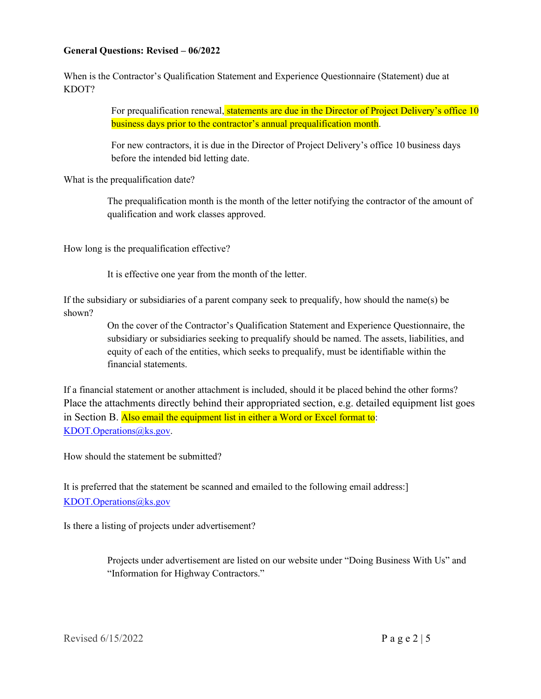# **General Questions: Revised – 06/2022**

When is the Contractor's Qualification Statement and Experience Questionnaire (Statement) due at KDOT?

> For prequalification renewal, statements are due in the Director of Project Delivery's office 10 business days prior to the contractor's annual prequalification month.

For new contractors, it is due in the Director of Project Delivery's office 10 business days before the intended bid letting date.

What is the prequalification date?

The prequalification month is the month of the letter notifying the contractor of the amount of qualification and work classes approved.

How long is the prequalification effective?

It is effective one year from the month of the letter.

If the subsidiary or subsidiaries of a parent company seek to prequalify, how should the name(s) be shown?

> On the cover of the Contractor's Qualification Statement and Experience Questionnaire, the subsidiary or subsidiaries seeking to prequalify should be named. The assets, liabilities, and equity of each of the entities, which seeks to prequalify, must be identifiable within the financial statements.

If a financial statement or another attachment is included, should it be placed behind the other forms? Place the attachments directly behind their appropriated section, e.g. detailed equipment list goes in Section B. Also email the equipment list in either a Word or Excel format to: [KDOT.Operations@ks.gov.](mailto:KDOT.Operations@ks.gov)

How should the statement be submitted?

It is preferred that the statement be scanned and emailed to the following email address:] [KDOT.Operations@ks.gov](mailto:KDOT.Operations@ks.gov)

Is there a listing of projects under advertisement?

Projects under advertisement are listed on our website under "Doing Business With Us" and "Information for Highway Contractors."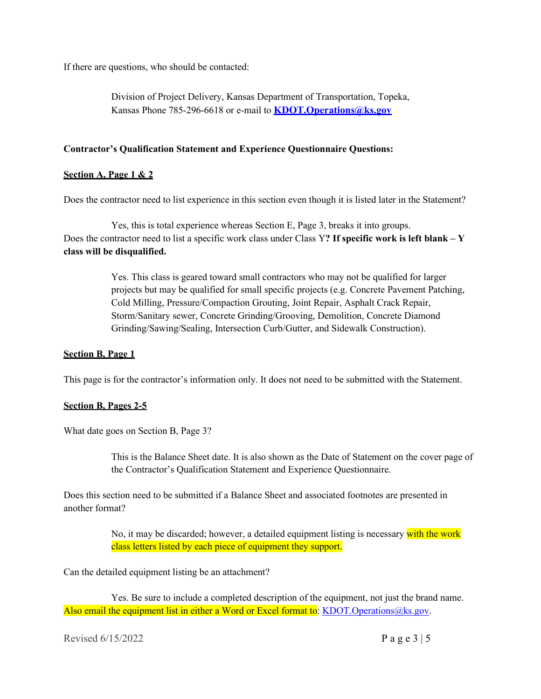If there are questions, who should be contacted:

Division of Project Delivery, Kansas Department of Transportation, Topeka, Kansas Phone 785-296-6618 or e-mail to **[KDOT.Operations@ks.gov](mailto:KDOT.Operations@ks.gov)**

## **Contractor's Qualification Statement and Experience Questionnaire Questions:**

## **Section A, Page 1 & 2**

Does the contractor need to list experience in this section even though it is listed later in the Statement?

Yes, this is total experience whereas Section E, Page 3, breaks it into groups. Does the contractor need to list a specific work class under Class Y**? If specific work is left blank – Y class will be disqualified.**

> Yes. This class is geared toward small contractors who may not be qualified for larger projects but may be qualified for small specific projects (e.g. Concrete Pavement Patching, Cold Milling, Pressure/Compaction Grouting, Joint Repair, Asphalt Crack Repair, Storm/Sanitary sewer, Concrete Grinding/Grooving, Demolition, Concrete Diamond Grinding/Sawing/Sealing, Intersection Curb/Gutter, and Sidewalk Construction).

#### **Section B, Page 1**

This page is for the contractor's information only. It does not need to be submitted with the Statement.

#### **Section B, Pages 2-5**

What date goes on Section B, Page 3?

This is the Balance Sheet date. It is also shown as the Date of Statement on the cover page of the Contractor's Qualification Statement and Experience Questionnaire.

Does this section need to be submitted if a Balance Sheet and associated footnotes are presented in another format?

> No, it may be discarded; however, a detailed equipment listing is necessary with the work class letters listed by each piece of equipment they support.

Can the detailed equipment listing be an attachment?

Yes. Be sure to include a completed description of the equipment, not just the brand name. Also email the equipment list in either a Word or Excel format to: [KDOT.Operations@ks.gov.](mailto:KDOT.Operations@ks.gov)

Revised  $6/15/2022$  P a g e  $3 \mid 5$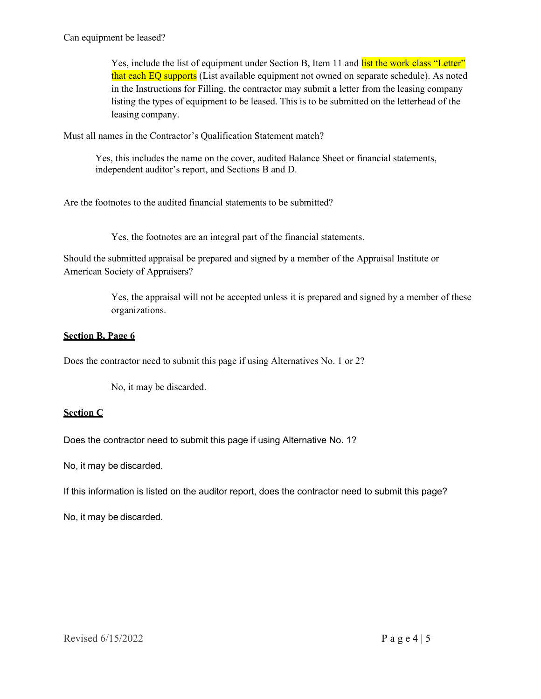Can equipment be leased?

Yes, include the list of equipment under Section B, Item 11 and list the work class "Letter" that each EQ supports (List available equipment not owned on separate schedule). As noted in the Instructions for Filling, the contractor may submit a letter from the leasing company listing the types of equipment to be leased. This is to be submitted on the letterhead of the leasing company.

Must all names in the Contractor's Qualification Statement match?

Yes, this includes the name on the cover, audited Balance Sheet or financial statements, independent auditor's report, and Sections B and D.

Are the footnotes to the audited financial statements to be submitted?

Yes, the footnotes are an integral part of the financial statements.

Should the submitted appraisal be prepared and signed by a member of the Appraisal Institute or American Society of Appraisers?

> Yes, the appraisal will not be accepted unless it is prepared and signed by a member of these organizations.

# **Section B, Page 6**

Does the contractor need to submit this page if using Alternatives No. 1 or 2?

No, it may be discarded.

# **Section C**

Does the contractor need to submit this page if using Alternative No. 1?

No, it may be discarded.

If this information is listed on the auditor report, does the contractor need to submit this page?

No, it may be discarded.